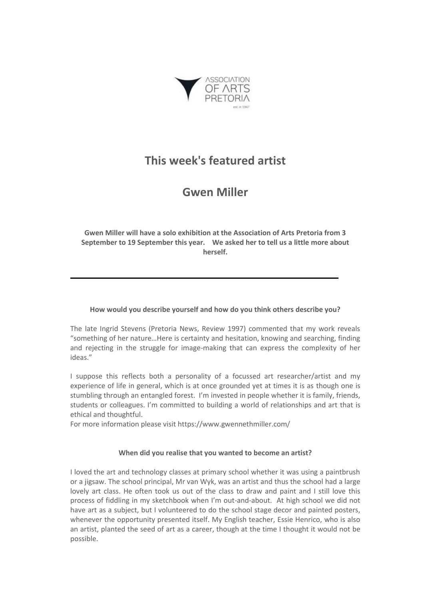

# **This week's featured artist**

# **Gwen Miller**

**Gwen Miller will have a solo exhibition at the Association of Arts Pretoria from 3 September to 19 September this year. We asked her to tell us a little more about herself.**

# **How would you describe yourself and how do you think others describe you?**

The late Ingrid Stevens (Pretoria News, Review 1997) commented that my work reveals "something of her nature…Here is certainty and hesitation, knowing and searching, finding and rejecting in the struggle for image-making that can express the complexity of her ideas."

I suppose this reflects both a personality of a focussed art researcher/artist and my experience of life in general, which is at once grounded yet at times it is as though one is stumbling through an entangled forest. I'm invested in people whether it is family, friends, students or colleagues. I'm committed to building a world of relationships and art that is ethical and thoughtful.

For more information please visit https://www.gwennethmiller.com/

# **When did you realise that you wanted to become an artist?**

I loved the art and technology classes at primary school whether it was using a paintbrush or a jigsaw. The school principal, Mr van Wyk, was an artist and thus the school had a large lovely art class. He often took us out of the class to draw and paint and I still love this process of fiddling in my sketchbook when I'm out-and-about. At high school we did not have art as a subject, but I volunteered to do the school stage decor and painted posters, whenever the opportunity presented itself. My English teacher, Essie Henrico, who is also an artist, planted the seed of art as a career, though at the time I thought it would not be possible.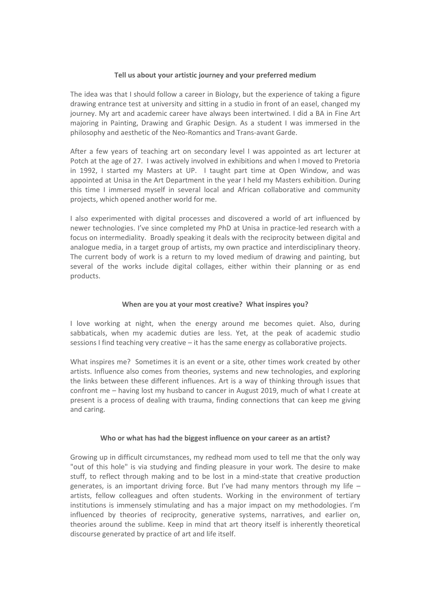### **Tell us about your artistic journey and your preferred medium**

The idea was that I should follow a career in Biology, but the experience of taking a figure drawing entrance test at university and sitting in a studio in front of an easel, changed my journey. My art and academic career have always been intertwined. I did a BA in Fine Art majoring in Painting, Drawing and Graphic Design. As a student I was immersed in the philosophy and aesthetic of the Neo-Romantics and Trans-avant Garde.

After a few years of teaching art on secondary level I was appointed as art lecturer at Potch at the age of 27. I was actively involved in exhibitions and when I moved to Pretoria in 1992, I started my Masters at UP. I taught part time at Open Window, and was appointed at Unisa in the Art Department in the year I held my Masters exhibition. During this time I immersed myself in several local and African collaborative and community projects, which opened another world for me.

I also experimented with digital processes and discovered a world of art influenced by newer technologies. I've since completed my PhD at Unisa in practice-led research with a focus on intermediality. Broadly speaking it deals with the reciprocity between digital and analogue media, in a target group of artists, my own practice and interdisciplinary theory. The current body of work is a return to my loved medium of drawing and painting, but several of the works include digital collages, either within their planning or as end products.

### **When are you at your most creative? What inspires you?**

I love working at night, when the energy around me becomes quiet. Also, during sabbaticals, when my academic duties are less. Yet, at the peak of academic studio sessions I find teaching very creative – it has the same energy as collaborative projects.

What inspires me? Sometimes it is an event or a site, other times work created by other artists. Influence also comes from theories, systems and new technologies, and exploring the links between these different influences. Art is a way of thinking through issues that confront me – having lost my husband to cancer in August 2019, much of what I create at present is a process of dealing with trauma, finding connections that can keep me giving and caring.

### **Who or what has had the biggest influence on your career as an artist?**

Growing up in difficult circumstances, my redhead mom used to tell me that the only way "out of this hole" is via studying and finding pleasure in your work. The desire to make stuff, to reflect through making and to be lost in a mind-state that creative production generates, is an important driving force. But I've had many mentors through my life – artists, fellow colleagues and often students. Working in the environment of tertiary institutions is immensely stimulating and has a major impact on my methodologies. I'm influenced by theories of reciprocity, generative systems, narratives, and earlier on, theories around the sublime. Keep in mind that art theory itself is inherently theoretical discourse generated by practice of art and life itself.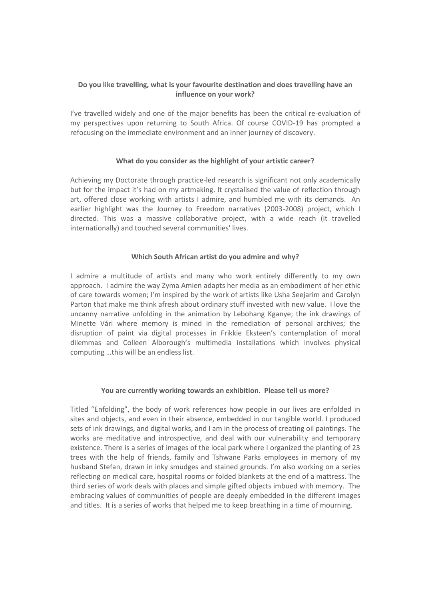# **Do you like travelling, what is your favourite destination and does travelling have an influence on your work?**

I've travelled widely and one of the major benefits has been the critical re-evaluation of my perspectives upon returning to South Africa. Of course COVID-19 has prompted a refocusing on the immediate environment and an inner journey of discovery.

## **What do you consider as the highlight of your artistic career?**

Achieving my Doctorate through practice-led research is significant not only academically but for the impact it's had on my artmaking. It crystalised the value of reflection through art, offered close working with artists I admire, and humbled me with its demands. An earlier highlight was the Journey to Freedom narratives (2003-2008) project, which I directed. This was a massive collaborative project, with a wide reach (it travelled internationally) and touched several communities' lives.

## **Which South African artist do you admire and why?**

I admire a multitude of artists and many who work entirely differently to my own approach. I admire the way Zyma Amien adapts her media as an embodiment of her ethic of care towards women; I'm inspired by the work of artists like Usha Seejarim and Carolyn Parton that make me think afresh about ordinary stuff invested with new value. I love the uncanny narrative unfolding in the animation by Lebohang Kganye; the ink drawings of Minette Vári where memory is mined in the remediation of personal archives; the disruption of paint via digital processes in Frikkie Eksteen's contemplation of moral dilemmas and Colleen Alborough's multimedia installations which involves physical computing …this will be an endless list.

### **You are currently working towards an exhibition. Please tell us more?**

Titled "Enfolding", the body of work references how people in our lives are enfolded in sites and objects, and even in their absence, embedded in our tangible world. I produced sets of ink drawings, and digital works, and I am in the process of creating oil paintings. The works are meditative and introspective, and deal with our vulnerability and temporary existence. There is a series of images of the local park where I organized the planting of 23 trees with the help of friends, family and Tshwane Parks employees in memory of my husband Stefan, drawn in inky smudges and stained grounds. I'm also working on a series reflecting on medical care, hospital rooms or folded blankets at the end of a mattress. The third series of work deals with places and simple gifted objects imbued with memory. The embracing values of communities of people are deeply embedded in the different images and titles. It is a series of works that helped me to keep breathing in a time of mourning.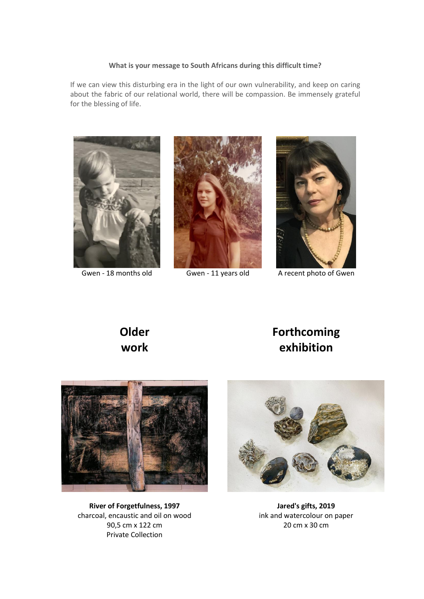#### **What is your message to South Africans during this difficult time?**

If we can view this disturbing era in the light of our own vulnerability, and keep on caring about the fabric of our relational world, there will be compassion. Be immensely grateful for the blessing of life.







Gwen - 18 months old Gwen - 11 years old A recent photo of Gwen

# **Older work**

# **Forthcoming exhibition**



**River of Forgetfulness, 1997** charcoal, encaustic and oil on wood 90,5 cm x 122 cm Private Collection



**Jared's gifts, 2019** ink and watercolour on paper 20 cm x 30 cm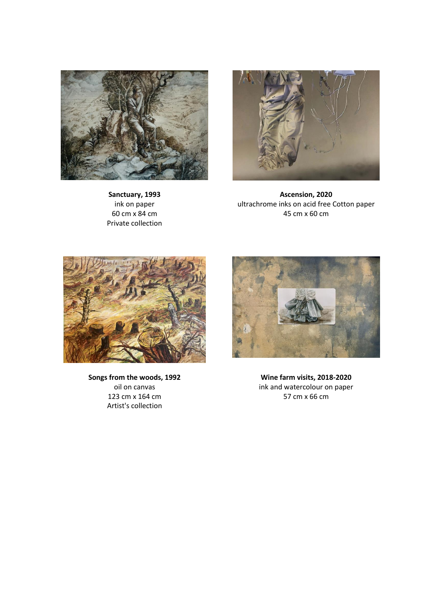

**Sanctuary, 1993** ink on paper 60 cm x 84 cm Private collection



**Ascension, 2020** ultrachrome inks on acid free Cotton paper 45 cm x 60 cm



**Songs from the woods, 1992** oil on canvas 123 cm x 164 cm Artist's collection



**Wine farm visits, 2018-2020** ink and watercolour on paper 57 cm x 66 cm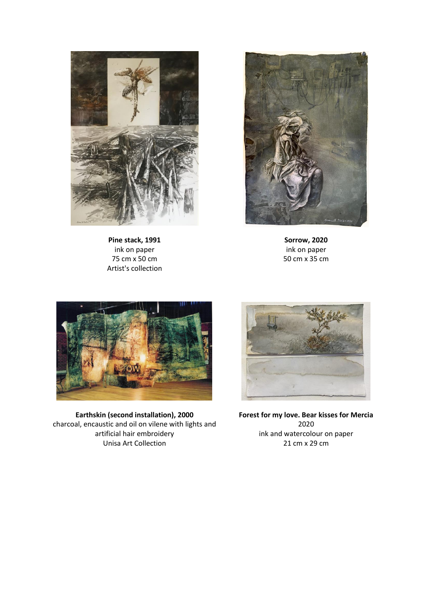

**Pine stack, 1991** ink on paper 75 cm x 50 cm Artist's collection



**Sorrow, 2020** ink on paper 50 cm x 35 cm



**Earthskin (second installation), 2000** charcoal, encaustic and oil on vilene with lights and artificial hair embroidery Unisa Art Collection



**Forest for my love. Bear kisses for Mercia** 2020 ink and watercolour on paper 21 cm x 29 cm